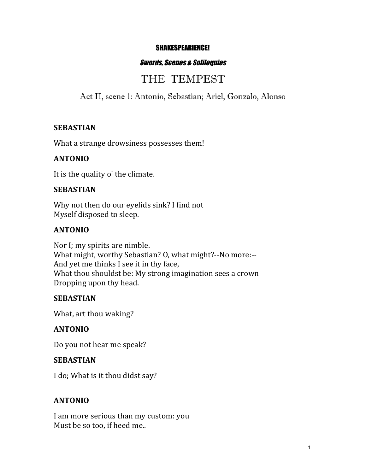#### SHAKESPEARIENCE!

#### Swords, Scenes & Soliloquies

# THE TEMPEST

Act II, scene 1: Antonio, Sebastian; Ariel, Gonzalo, Alonso

#### **SEBASTIAN**

What a strange drowsiness possesses them!

#### **ANTONIO**

It is the quality o' the climate.

#### **SEBASTIAN**

Why not then do our eyelids sink? I find not Myself disposed to sleep.

#### **ANTONIO**

Nor I; my spirits are nimble. What might, worthy Sebastian? O, what might?--No more:--And yet me thinks I see it in thy face, What thou shouldst be: My strong imagination sees a crown Dropping upon thy head.

#### **SEBASTIAN**

What, art thou waking?

#### **ANTONIO**

Do you not hear me speak?

#### **SEBASTIAN**

I do; What is it thou didst say?

#### **ANTONIO**

I am more serious than my custom: you Must be so too, if heed me..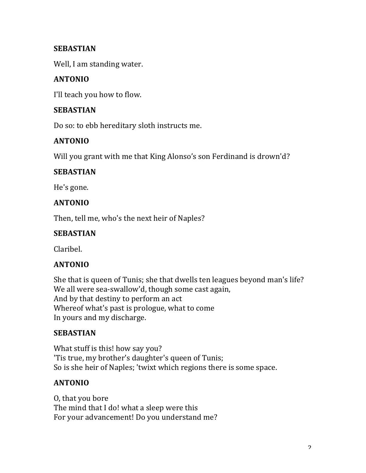### **SEBASTIAN**

Well, I am standing water.

# **ANTONIO**

I'll teach you how to flow.

#### **SEBASTIAN**

Do so: to ebb hereditary sloth instructs me.

#### **ANTONIO**

Will you grant with me that King Alonso's son Ferdinand is drown'd?

#### **SEBASTIAN**

He's gone.

#### **ANTONIO**

Then, tell me, who's the next heir of Naples?

#### **SEBASTIAN**

Claribel.

#### **ANTONIO**

She that is queen of Tunis; she that dwells ten leagues beyond man's life? We all were sea-swallow'd, though some cast again, And by that destiny to perform an act Whereof what's past is prologue, what to come In yours and my discharge.

# **SEBASTIAN**

What stuff is this! how say you? 'Tis true, my brother's daughter's queen of Tunis; So is she heir of Naples; 'twixt which regions there is some space.

# **ANTONIO**

O, that you bore The mind that I do! what a sleep were this For your advancement! Do you understand me?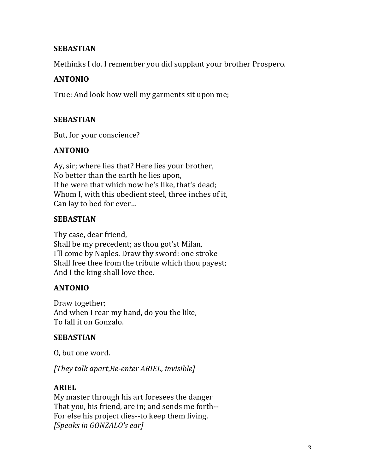#### **SEBASTIAN**

Methinks I do. I remember you did supplant your brother Prospero.

# **ANTONIO**

True: And look how well my garments sit upon me;

# **SEBASTIAN**

But, for your conscience?

# **ANTONIO**

Ay, sir; where lies that? Here lies your brother, No better than the earth he lies upon, If he were that which now he's like, that's dead; Whom I, with this obedient steel, three inches of it, Can lay to bed for ever...

# **SEBASTIAN**

Thy case, dear friend, Shall be my precedent; as thou got'st Milan, I'll come by Naples. Draw thy sword: one stroke Shall free thee from the tribute which thou payest; And I the king shall love thee.

# **ANTONIO**

Draw together; And when I rear my hand, do you the like, To fall it on Gonzalo.

# **SEBASTIAN**

O, but one word.

*[They talk apart*,*Re-enter ARIEL, invisible]*

# **ARIEL**

My master through his art foresees the danger That you, his friend, are in; and sends me forth--For else his project dies--to keep them living. *[Speaks in GONZALO's ear]*